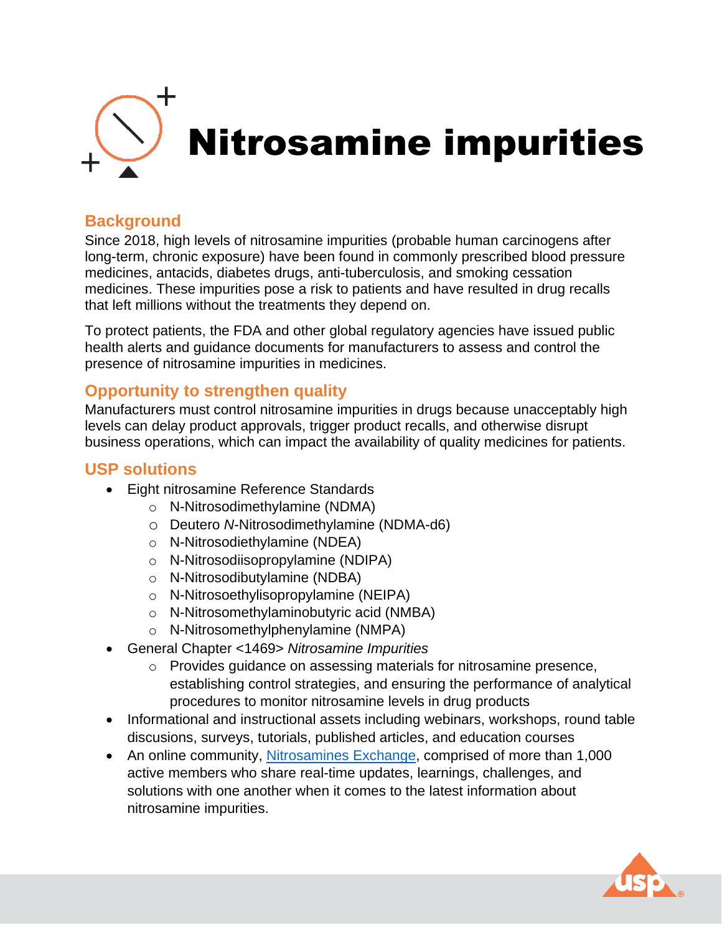

# **Background**

Since 2018, high levels of nitrosamine impurities (probable human carcinogens after long-term, chronic exposure) have been found in commonly prescribed blood pressure medicines, antacids, diabetes drugs, anti-tuberculosis, and smoking cessation medicines. These impurities pose a risk to patients and have resulted in drug recalls that left millions without the treatments they depend on.

To protect patients, the FDA and other global regulatory agencies have issued public health alerts and guidance documents for manufacturers to assess and control the presence of nitrosamine impurities in medicines.

#### **Opportunity to strengthen quality**

Manufacturers must control nitrosamine impurities in drugs because unacceptably high levels can delay product approvals, trigger product recalls, and otherwise disrupt business operations, which can impact the availability of quality medicines for patients.

## **USP solutions**

- Eight nitrosamine Reference Standards
	- o N-Nitrosodimethylamine (NDMA)
	- o Deutero *N*-Nitrosodimethylamine (NDMA-d6)
	- o N-Nitrosodiethylamine (NDEA)
	- o N-Nitrosodiisopropylamine (NDIPA)
	- o N-Nitrosodibutylamine (NDBA)
	- o N-Nitrosoethylisopropylamine (NEIPA)
	- o N-Nitrosomethylaminobutyric acid (NMBA)
	- o N-Nitrosomethylphenylamine (NMPA)
- General Chapter <1469> *Nitrosamine Impurities*
	- o Provides guidance on assessing materials for nitrosamine presence, establishing control strategies, and ensuring the performance of analytical procedures to monitor nitrosamine levels in drug products
- Informational and instructional assets including webinars, workshops, round table discusions, surveys, tutorials, published articles, and education courses
- An online community, [Nitrosamines Exchange,](https://nitrosamines.usp.org/login) comprised of more than 1,000 active members who share real-time updates, learnings, challenges, and solutions with one another when it comes to the latest information about nitrosamine impurities.